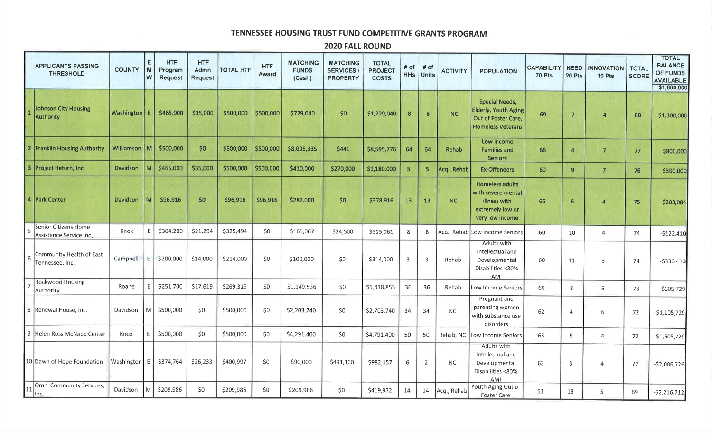## TENNESSEE HOUSING TRUST FUND COMPETITIVE GRANTS PROGRAM

2O2O FALL ROUND

|    | <b>APPLICANTS PASSING</b><br><b>THRESHOLD</b>   | <b>COUNTY</b>  | Е<br>M<br>W | <b>HTF</b><br>Program<br><b>Request</b> | <b>HTF</b><br>Admn<br>Request | <b>TOTAL HTF</b> | <b>HTF</b><br>Award | <b>MATCHING</b><br><b>FUNDS</b><br>(Cash) | <b>MATCHING</b><br><b>SERVICES /</b><br><b>PROPERTY</b> | <b>TOTAL</b><br><b>PROJECT</b><br><b>COSTS</b> | # of<br><b>HHs</b> | # of<br><b>Units</b> | <b>ACTIVITY</b> | <b>POPULATION</b>                                                                                       | <b>CAPABILITY</b><br>70 Pts | <b>NEED</b><br>20 Pts | <b>INNOVATION</b><br>10 Pts | <b>TOTAL</b><br><b>SCORE</b> | <b>TOTAL</b><br><b>BALANCE</b><br>OF FUNDS<br><b>AVAILABLE</b><br>\$1,800,000 |
|----|-------------------------------------------------|----------------|-------------|-----------------------------------------|-------------------------------|------------------|---------------------|-------------------------------------------|---------------------------------------------------------|------------------------------------------------|--------------------|----------------------|-----------------|---------------------------------------------------------------------------------------------------------|-----------------------------|-----------------------|-----------------------------|------------------------------|-------------------------------------------------------------------------------|
|    | Johnson City Housing<br><b>Authority</b>        | Washington     | E           | \$465,000                               | \$35,000                      | \$500,000        | \$500,000           | \$729,040                                 | \$0                                                     | \$1,229,040                                    | 8                  | 8                    | <b>NC</b>       | <b>Special Needs,</b><br><b>Elderly, Youth Aging</b><br>Out of Foster Care,<br><b>Homeless Veterans</b> | 69                          | $\overline{7}$        | $\overline{4}$              | 80                           | \$1,300,000                                                                   |
|    | 2 Franklin Housing Authority                    | Williamson   M |             | \$500,000                               | \$0                           | \$500,000        | \$500,000           | \$8,095,335                               | \$441                                                   | \$8,595,776                                    | 64                 | 64                   | Rehab           | Low Income<br><b>Families and</b><br><b>Seniors</b>                                                     | 66                          | $\boldsymbol{A}$      | $\overline{7}$              | 77                           | \$800,000                                                                     |
|    | 3 Project Return, Inc.                          | Davidson       | M           | \$465,000                               | \$35,000                      | \$500,000        | \$500,000           | \$410,000                                 | \$270,000                                               | \$1,180,000                                    | 5                  | 5                    | Acq., Rehab     | <b>Ex-Offenders</b>                                                                                     | 60                          | $\overline{9}$        | $\overline{7}$              | 76                           | \$300,000                                                                     |
|    | 4 Park Center                                   | Davidson       | l M         | \$96,916                                | 50                            | \$96,916         | \$96,916            | \$282,000                                 | \$0\$                                                   | \$378,916                                      | 13                 | 13                   | <b>NC</b>       | <b>Homeless adults</b><br>with severe mental<br>illness with<br>extremely low or<br>very low income     | 65                          | 6                     | $\overline{4}$              | 75                           | \$203,084                                                                     |
|    | Senior Citizens Home<br>Assistance Service Inc. | Knox           | E           | \$304,200                               | \$21,294                      | \$325,494        | \$0                 | \$165,067                                 | \$24,500                                                | \$515,061                                      | 8                  | 8                    |                 | Acq., Rehab Low Income Seniors                                                                          | 60                          | 10                    | $\overline{A}$              | 74                           | $-$122,410$                                                                   |
| 6  | Community Health of East<br>Tennessee, Inc.     | Campbell       | E           | \$200,000                               | \$14,000                      | \$214,000        | \$0                 | \$100,000                                 | \$0                                                     | \$314,000                                      | 3                  | $\overline{3}$       | Rehab           | Adults with<br>Intellectual and<br>Developmental<br>Disabilities <30%<br>AMI                            | 60                          | 11                    | 3                           | 74                           | $-5336,410$                                                                   |
|    | Rockwood Housing<br>Authority                   | Roane          | E.          | \$251,700                               | \$17,619                      | \$269,319        | 50                  | \$1,149,536                               | \$0                                                     | \$1,418,855                                    | 36                 | 36                   | Rehab           | Low Income Seniors                                                                                      | 60                          | 8                     | 5                           | 73                           | $-5605,729$                                                                   |
|    | 8 Renewal House, Inc.                           | Davidson       | M           | \$500,000                               | \$0                           | \$500,000        | \$0                 | \$2,203,740                               | \$0                                                     | \$2,703,740                                    | 34                 | 34                   | <b>NC</b>       | Pregnant and<br>parenting women<br>with substance use<br>disorders                                      | 62                          | $\overline{4}$        | 6                           | 72                           | $-$1,105,729$                                                                 |
|    | 9 Helen Ross McNabb Center                      | Knox           | E           | \$500,000                               | \$0                           | \$500,000        | \$0                 | \$4,291,400                               | \$0                                                     | \$4,791,400                                    | 50                 | 50                   |                 | Rehab, NC Low Income Seniors                                                                            | 63                          | 5                     | $\overline{4}$              | 72                           | $-51,605,729$                                                                 |
|    | 10 Dawn of Hope Foundation                      | Washington   E |             | \$374,764                               | \$26,233                      | \$400,997        | \$0                 | \$90,000                                  | \$491,160                                               | \$982,157                                      | 6                  | $\overline{2}$       | NC.             | Adults with<br>Intellectual and<br>Developmental<br>Disabilities <80%<br><b>AMI</b>                     | 63                          | 5                     | $\boldsymbol{\Delta}$       | 72                           | $-$2,006,726$                                                                 |
| 11 | Omni Community Services,<br>linc.               | Davidson       | M.          | \$209,986                               | \$0                           | \$209,986        | 50                  | \$209,986                                 | \$0                                                     | \$419,972                                      | 14                 | 14                   | Acq., Rehab     | Youth Aging Out of<br>Foster Care                                                                       | 51                          | 13                    | 5                           | 69                           | $-52,216,712$                                                                 |